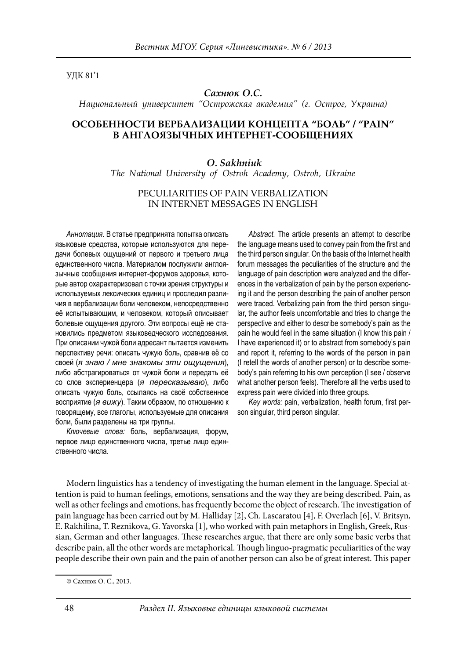УДК 81'1

#### *Сахнюк О.С.*

*Национальный университет "Острожская академия" (г. Острог, Украина)*

# **ОСОБЕННОСТИ ВЕРБАЛИЗАЦИИ КОНЦЕПТА "БОЛЬ" / "PAIN" В АНГЛОЯЗЫЧНЫХ ИНТЕРНЕТ-СООБЩЕНИЯХ**

## *O. Sakhniuk The National University of Ostroh Academy, Ostroh, Ukraine*

### PECULIARITIES OF PAIN VERBALIZATION IN INTERNET MESSAGES IN ENGLISH

*Аннотация.* В статье предпринята попытка описать языковые средства, которые используются для передачи болевых ощущений от первого и третьего лица единственного числа. Материалом послужили англоязычные сообщения интернет-форумов здоровья, которые автор охарактеризовал c точки зрения структуры и используемых лексических единиц и проследил различия в вербализации боли человеком, непосредственно её испытывающим, и человеком, который описывает болевые ощущения другого. Эти вопросы ещё не становились предметом языковедческого исследования. При описании чужой боли адресант пытается изменить перспективу речи: описать чужую боль, сравнив её со своей (*я знаю / мне знакомы эти ощущения*), либо абстрагироваться от чужой боли и передать её со слов экспериенцера (*я пересказываю*), либо описать чужую боль, ссылаясь на своё собственное восприятие (*я вижу*). Таким образом, по отношению к говорящему, все глаголы, используемые для описания боли, были разделены на три группы*.*

*Ключевые слова:* боль, вербализация, форум, первое лицо единственного числа, третье лицо единственного числа.

*Abstract.* The article presents an attempt to describe the language means used to convey pain from the first and the third person singular. On the basis of the Internet health forum messages the peculiarities of the structure and the language of pain description were analyzed and the differences in the verbalization of pain by the person experiencing it and the person describing the pain of another person were traced. Verbalizing pain from the third person singular, the author feels uncomfortable and tries to change the perspective and either to describe somebody's pain as the pain he would feel in the same situation (I know this pain / I have experienced it) or to abstract from somebody's pain and report it, referring to the words of the person in pain (I retell the words of another person) or to describe somebody's pain referring to his own perception (I see / observe what another person feels). Therefore all the verbs used to express pain were divided into three groups.

Key words: pain, verbalization, health forum, first person singular, third person singular.

Modern linguistics has a tendency of investigating the human element in the language. Special attention is paid to human feelings, emotions, sensations and the way they are being described. Pain, as well as other feelings and emotions, has frequently become the object of research. The investigation of pain language has been carried out by M. Halliday [2], Ch. Lascaratou [4], F. Overlach [6], V. Britsyn, E. Rakhilina, T. Reznikova, G. Yavorska [1], who worked with pain metaphors in English, Greek, Russian, German and other languages. These researches argue, that there are only some basic verbs that describe pain, all the other words are metaphorical. Though linguo-pragmatic peculiarities of the way people describe their own pain and the pain of another person can also be of great interest. This paper

<sup>©</sup> Сахнюк О. С., 2013.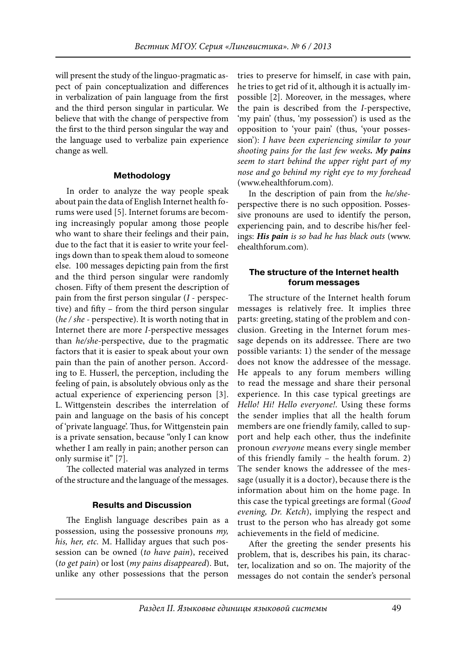will present the study of the linguo-pragmatic aspect of pain conceptualization and differences in verbalization of pain language from the first and the third person singular in particular. We believe that with the change of perspective from the first to the third person singular the way and the language used to verbalize pain experience change as well.

#### **Methodology**

In order to analyze the way people speak about pain the data of English Internet health forums were used [5]. Internet forums are becoming increasingly popular among those people who want to share their feelings and their pain, due to the fact that it is easier to write your feelings down than to speak them aloud to someone else. 100 messages depicting pain from the first and the third person singular were randomly chosen. Fifty of them present the description of pain from the first person singular  $(I -$  perspective) and fifty – from the third person singular (he / she - perspective). It is worth noting that in Internet there are more I-perspective messages than he/she-perspective, due to the pragmatic factors that it is easier to speak about your own pain than the pain of another person. According to E. Husserl, the perception, including the feeling of pain, is absolutely obvious only as the actual experience of experiencing person [3]. L. Wittgenstein describes the interrelation of pain and language on the basis of his concept of 'private language'. Thus, for Wittgenstein pain is a private sensation, because "only I can know whether I am really in pain; another person can only surmise it" [7].

The collected material was analyzed in terms of the structure and the language of the messages.

## **Results and Discussion**

The English language describes pain as a possession, using the possessive pronouns my, his, her, etc. M. Halliday argues that such possession can be owned (to have pain), received (to get pain) or lost (my pains disappeared). But, unlike any other possessions that the person

tries to preserve for himself, in case with pain, he tries to get rid of it, although it is actually impossible [2]. Moreover, in the messages, where the pain is described from the I-perspective, 'my pain' (thus, 'my possession') is used as the opposition to 'your pain' (thus, 'your possession'): I have been experiencing similar to your shooting pains for the last few weeks*. My pains* seem to start behind the upper right part of my nose and go behind my right eye to my forehead (www.ehealthforum.com).

In the description of pain from the he/sheperspective there is no such opposition. Possessive pronouns are used to identify the person, experiencing pain, and to describe his/her feelings: *His pain* is so bad he has black outs (www. ehealthforum.com).

### **The structure of the Internet health forum messages**

The structure of the Internet health forum messages is relatively free. It implies three parts: greeting, stating of the problem and conclusion. Greeting in the Internet forum message depends on its addressee. There are two possible variants: 1) the sender of the message does not know the addressee of the message. He appeals to any forum members willing to read the message and share their personal experience. In this case typical greetings are Hello! Hi! Hello everyone!. Using these forms the sender implies that all the health forum members are one friendly family, called to support and help each other, thus the indefinite pronoun everyone means every single member of this friendly family – the health forum. 2) The sender knows the addressee of the message (usually it is a doctor), because there is the information about him on the home page. In this case the typical greetings are formal (Good evening, Dr. Ketch), implying the respect and trust to the person who has already got some achievements in the field of medicine.

After the greeting the sender presents his problem, that is, describes his pain, its character, localization and so on. The majority of the messages do not contain the sender's personal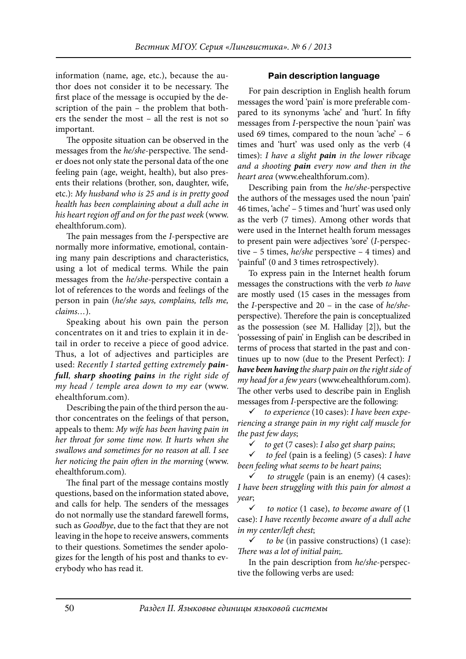information (name, age, etc.), because the author does not consider it to be necessary. The first place of the message is occupied by the description of the pain – the problem that bothers the sender the most – all the rest is not so important.

The opposite situation can be observed in the messages from the he/she-perspective. The sender does not only state the personal data of the one feeling pain (age, weight, health), but also presents their relations (brother, son, daughter, wife, etc.): My husband who is 25 and is in pretty good health has been complaining about a dull ache in his heart region off and on for the past week (www. ehealthforum.com).

The pain messages from the *I*-perspective are normally more informative, emotional, containing many pain descriptions and characteristics, using a lot of medical terms. While the pain messages from the he/she-perspective contain a lot of references to the words and feelings of the person in pain (he/she says, complains, tells me, claims…).

Speaking about his own pain the person concentrates on it and tries to explain it in detail in order to receive a piece of good advice. Thus, a lot of adjectives and participles are used: Recently I started getting extremely *painfull*, *sharp shooting pains* in the right side of my head / temple area down to my ear (www. ehealthforum.com).

Describing the pain of the third person the author concentrates on the feelings of that person, appeals to them: My wife has been having pain in her throat for some time now. It hurts when she swallows and sometimes for no reason at all. I see her noticing the pain often in the morning (www. ehealthforum.com).

The final part of the message contains mostly questions, based on the information stated above, and calls for help. The senders of the messages do not normally use the standard farewell forms, such as Goodbye, due to the fact that they are not leaving in the hope to receive answers, comments to their questions. Sometimes the sender apologizes for the length of his post and thanks to everybody who has read it.

### **Pain description language**

For pain description in English health forum messages the word 'pain' is more preferable compared to its synonyms 'ache' and 'hurt'. In fifty messages from I-perspective the noun 'pain' was used 69 times, compared to the noun 'ache' – 6 times and 'hurt' was used only as the verb (4 times): I have a slight *pain* in the lower ribcage and a shooting *pain* every now and then in the heart area (www.ehealthforum.com).

Describing pain from the he/she-perspective the authors of the messages used the noun 'pain' 46 times, 'ache' – 5 times and 'hurt' was used only as the verb (7 times). Among other words that were used in the Internet health forum messages to present pain were adjectives 'sore' (I-perspective – 5 times, he/she perspective – 4 times) and 'painful' (0 and 3 times retrospectively).

To express pain in the Internet health forum messages the constructions with the verb to have are mostly used (15 cases in the messages from the I-perspective and  $20 - in$  the case of he/sheperspective). Therefore the pain is conceptualized as the possession (see M. Halliday [2]), but the 'possessing of pain' in English can be described in terms of process that started in the past and continues up to now (due to the Present Perfect):  $I$ *have been having* the sharp pain on the right side of my head for a few years (www.ehealthforum.com). The other verbs used to describe pain in English messages from I-perspective are the following:

to experience (10 cases): I have been experiencing a strange pain in my right calf muscle for the past few days;

 $\checkmark$  to get (7 cases): I also get sharp pains;

 $\checkmark$  to feel (pain is a feeling) (5 cases): I have been feeling what seems to be heart pains;

 to struggle (pain is an enemy) (4 cases): I have been struggling with this pain for almost a year;

to notice  $(1 \text{ case})$ , to become aware of  $(1 \text{ case})$ case): I have recently become aware of a dull ache in my center/left chest;

 to be (in passive constructions) (1 case): There was a lot of initial pain;.

In the pain description from he/she-perspective the following verbs are used: